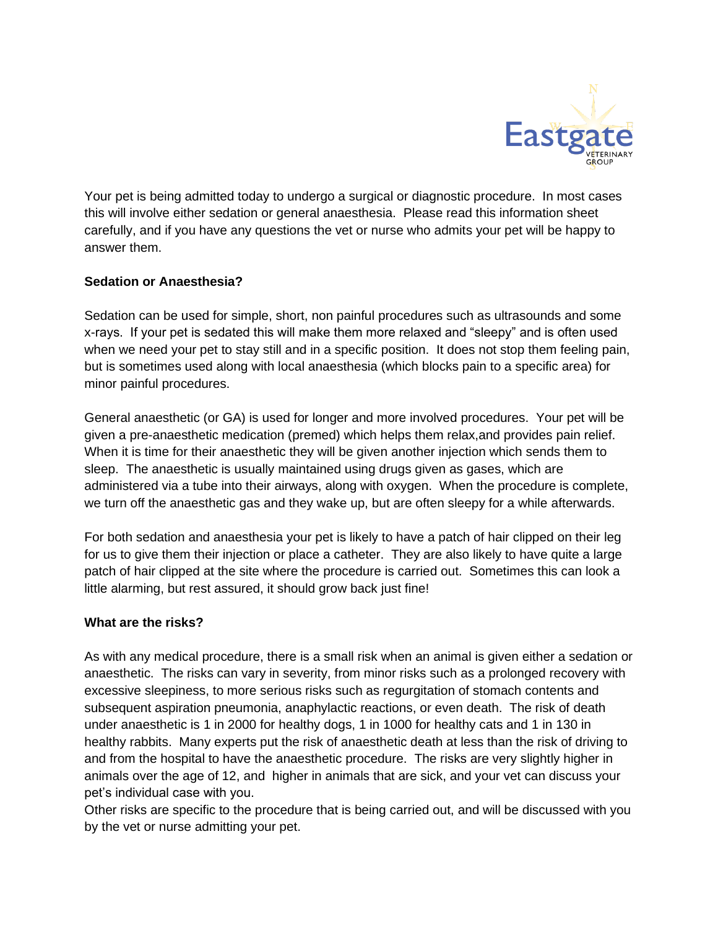

Your pet is being admitted today to undergo a surgical or diagnostic procedure. In most cases this will involve either sedation or general anaesthesia. Please read this information sheet carefully, and if you have any questions the vet or nurse who admits your pet will be happy to answer them.

# **Sedation or Anaesthesia?**

Sedation can be used for simple, short, non painful procedures such as ultrasounds and some x-rays. If your pet is sedated this will make them more relaxed and "sleepy" and is often used when we need your pet to stay still and in a specific position. It does not stop them feeling pain, but is sometimes used along with local anaesthesia (which blocks pain to a specific area) for minor painful procedures.

General anaesthetic (or GA) is used for longer and more involved procedures. Your pet will be given a pre-anaesthetic medication (premed) which helps them relax,and provides pain relief. When it is time for their anaesthetic they will be given another injection which sends them to sleep. The anaesthetic is usually maintained using drugs given as gases, which are administered via a tube into their airways, along with oxygen. When the procedure is complete, we turn off the anaesthetic gas and they wake up, but are often sleepy for a while afterwards.

For both sedation and anaesthesia your pet is likely to have a patch of hair clipped on their leg for us to give them their injection or place a catheter. They are also likely to have quite a large patch of hair clipped at the site where the procedure is carried out. Sometimes this can look a little alarming, but rest assured, it should grow back just fine!

# **What are the risks?**

As with any medical procedure, there is a small risk when an animal is given either a sedation or anaesthetic. The risks can vary in severity, from minor risks such as a prolonged recovery with excessive sleepiness, to more serious risks such as regurgitation of stomach contents and subsequent aspiration pneumonia, anaphylactic reactions, or even death. The risk of death under anaesthetic is 1 in 2000 for healthy dogs, 1 in 1000 for healthy cats and 1 in 130 in healthy rabbits. Many experts put the risk of anaesthetic death at less than the risk of driving to and from the hospital to have the anaesthetic procedure. The risks are very slightly higher in animals over the age of 12, and higher in animals that are sick, and your vet can discuss your pet's individual case with you.

Other risks are specific to the procedure that is being carried out, and will be discussed with you by the vet or nurse admitting your pet.